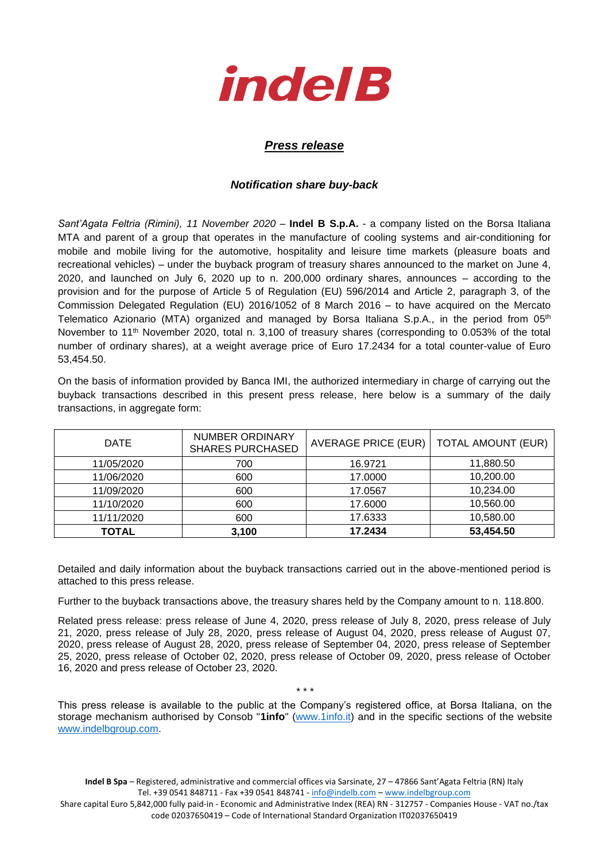

## *Press release*

## *Notification share buy-back*

*Sant'Agata Feltria (Rimini), 11 November 2020* – **Indel B S.p.A.** - a company listed on the Borsa Italiana MTA and parent of a group that operates in the manufacture of cooling systems and air-conditioning for mobile and mobile living for the automotive, hospitality and leisure time markets (pleasure boats and recreational vehicles) – under the buyback program of treasury shares announced to the market on June 4, 2020, and launched on July 6, 2020 up to n. 200,000 ordinary shares, announces – according to the provision and for the purpose of Article 5 of Regulation (EU) 596/2014 and Article 2, paragraph 3, of the Commission Delegated Regulation (EU) 2016/1052 of 8 March 2016 – to have acquired on the Mercato Telematico Azionario (MTA) organized and managed by Borsa Italiana S.p.A., in the period from 05<sup>th</sup> November to 11<sup>th</sup> November 2020, total n. 3,100 of treasury shares (corresponding to 0.053% of the total number of ordinary shares), at a weight average price of Euro 17.2434 for a total counter-value of Euro 53,454.50.

On the basis of information provided by Banca IMI, the authorized intermediary in charge of carrying out the buyback transactions described in this present press release, here below is a summary of the daily transactions, in aggregate form:

| <b>DATE</b>  | NUMBER ORDINARY<br><b>SHARES PURCHASED</b> | AVERAGE PRICE (EUR) | <b>TOTAL AMOUNT (EUR)</b> |  |
|--------------|--------------------------------------------|---------------------|---------------------------|--|
| 11/05/2020   | 700                                        | 16.9721             | 11,880.50                 |  |
| 11/06/2020   | 600                                        | 17.0000             | 10,200.00                 |  |
| 11/09/2020   | 600                                        | 17.0567             | 10,234.00                 |  |
| 11/10/2020   | 600                                        | 17.6000             | 10,560.00                 |  |
| 11/11/2020   | 600                                        | 17.6333             | 10,580.00                 |  |
| <b>TOTAL</b> | 3,100                                      | 17.2434             | 53,454.50                 |  |

Detailed and daily information about the buyback transactions carried out in the above-mentioned period is attached to this press release.

Further to the buyback transactions above, the treasury shares held by the Company amount to n. 118.800.

Related press release: press release of June 4, 2020, press release of July 8, 2020, press release of July 21, 2020, press release of July 28, 2020, press release of August 04, 2020, press release of August 07, 2020, press release of August 28, 2020, press release of September 04, 2020, press release of September 25, 2020, press release of October 02, 2020, press release of October 09, 2020, press release of October 16, 2020 and press release of October 23, 2020.

\* \* \* This press release is available to the public at the Company's registered office, at Borsa Italiana, on the storage mechanism authorised by Consob "**1info**" [\(www.1info.it\)](file:///C:/Users/ddelietovollaro/AppData/Local/Microsoft/Windows/INetCache/Content.Outlook/T87B94UR/www.1info.it) and in the specific sections of the website [www.indelbgroup.com.](http://www.indelbgroup.com/)

**Indel B Spa** – Registered, administrative and commercial offices via Sarsinate, 27 – 47866 Sant'Agata Feltria (RN) Italy Tel. +39 0541 848711 - Fax +39 0541 848741 - [info@indelb.com](mailto:info@indelb.com) – [www.indelbgroup.com](http://www.indelbgroup.com/)

Share capital Euro 5,842,000 fully paid-in - Economic and Administrative Index (REA) RN - 312757 - Companies House - VAT no./tax code 02037650419 – Code of International Standard Organization IT02037650419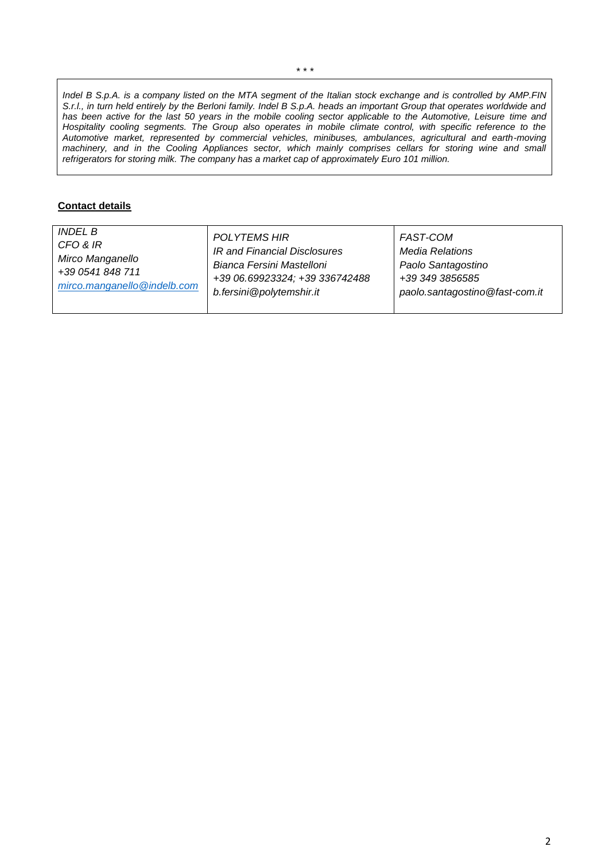*Indel B S.p.A. is a company listed on the MTA segment of the Italian stock exchange and is controlled by AMP.FIN S.r.l., in turn held entirely by the Berloni family. Indel B S.p.A. heads an important Group that operates worldwide and has been active for the last 50 years in the mobile cooling sector applicable to the Automotive, Leisure time and Hospitality cooling segments. The Group also operates in mobile climate control, with specific reference to the Automotive market, represented by commercial vehicles, minibuses, ambulances, agricultural and earth-moving machinery, and in the Cooling Appliances sector, which mainly comprises cellars for storing wine and small refrigerators for storing milk. The company has a market cap of approximately Euro 101 million.*

## **Contact details**

| <i>INDEL B</i>              | <b>POLYTEMS HIR</b>            | <b>FAST-COM</b>                |
|-----------------------------|--------------------------------|--------------------------------|
| CFO & IR                    | IR and Financial Disclosures   | <b>Media Relations</b>         |
| Mirco Manganello            | Bianca Fersini Mastelloni      | Paolo Santagostino             |
| +39 0541 848 711            | +39 06.69923324; +39 336742488 | +39 349 3856585                |
| mirco.manganello@indelb.com | b.fersini@polytemshir.it       | paolo.santagostino@fast-com.it |